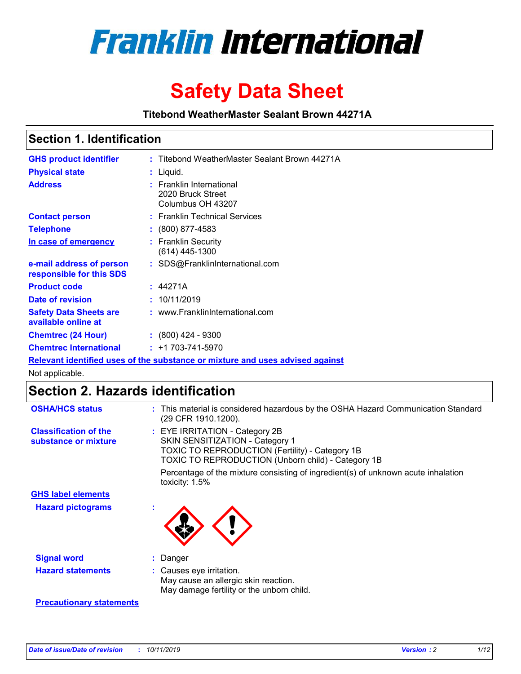

# **Safety Data Sheet**

**Titebond WeatherMaster Sealant Brown 44271A**

### **Section 1. Identification**

| <b>GHS product identifier</b>                                                 |           | : Titebond WeatherMaster Sealant Brown 44271A                      |  |  |  |
|-------------------------------------------------------------------------------|-----------|--------------------------------------------------------------------|--|--|--|
| <b>Physical state</b>                                                         | : Liquid. |                                                                    |  |  |  |
| <b>Address</b>                                                                |           | : Franklin International<br>2020 Bruck Street<br>Columbus OH 43207 |  |  |  |
| <b>Contact person</b>                                                         |           | : Franklin Technical Services                                      |  |  |  |
| <b>Telephone</b>                                                              |           | $\div$ (800) 877-4583                                              |  |  |  |
| In case of emergency                                                          |           | : Franklin Security<br>$(614)$ 445-1300                            |  |  |  |
| e-mail address of person<br>responsible for this SDS                          |           | : SDS@FranklinInternational.com                                    |  |  |  |
| <b>Product code</b>                                                           |           | : 44271A                                                           |  |  |  |
| Date of revision                                                              |           | : 10/11/2019                                                       |  |  |  |
| <b>Safety Data Sheets are</b><br>available online at                          |           | : www.FranklinInternational.com                                    |  |  |  |
| <b>Chemtrec (24 Hour)</b>                                                     |           | $: (800)$ 424 - 9300                                               |  |  |  |
| <b>Chemtrec International</b>                                                 |           | $: +1703 - 741 - 5970$                                             |  |  |  |
| Relevant identified uses of the substance or mixture and uses advised against |           |                                                                    |  |  |  |

Not applicable.

## **Section 2. Hazards identification**

| <b>OSHA/HCS status</b>                               | : This material is considered hazardous by the OSHA Hazard Communication Standard<br>(29 CFR 1910.1200).                                                                                 |
|------------------------------------------------------|------------------------------------------------------------------------------------------------------------------------------------------------------------------------------------------|
| <b>Classification of the</b><br>substance or mixture | : EYE IRRITATION - Category 2B<br>SKIN SENSITIZATION - Category 1<br><b>TOXIC TO REPRODUCTION (Fertility) - Category 1B</b><br><b>TOXIC TO REPRODUCTION (Unborn child) - Category 1B</b> |
|                                                      | Percentage of the mixture consisting of ingredient(s) of unknown acute inhalation<br>toxicity: $1.5\%$                                                                                   |
| <b>GHS label elements</b>                            |                                                                                                                                                                                          |
| <b>Hazard pictograms</b>                             |                                                                                                                                                                                          |
| <b>Signal word</b>                                   | : Danger                                                                                                                                                                                 |
| <b>Hazard statements</b>                             | : Causes eye irritation.<br>May cause an allergic skin reaction.<br>May damage fertility or the unborn child.                                                                            |
| <b>Precautionary statements</b>                      |                                                                                                                                                                                          |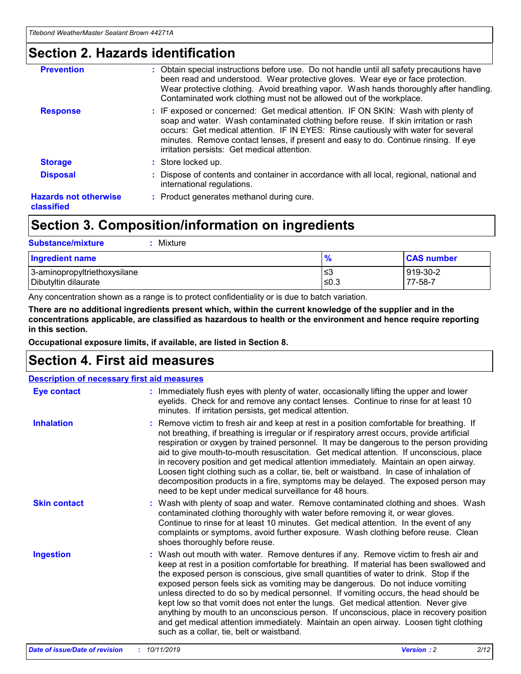### **Section 2. Hazards identification**

| <b>Prevention</b>                          | : Obtain special instructions before use. Do not handle until all safety precautions have<br>been read and understood. Wear protective gloves. Wear eye or face protection.<br>Wear protective clothing. Avoid breathing vapor. Wash hands thoroughly after handling.<br>Contaminated work clothing must not be allowed out of the workplace.                                                        |
|--------------------------------------------|------------------------------------------------------------------------------------------------------------------------------------------------------------------------------------------------------------------------------------------------------------------------------------------------------------------------------------------------------------------------------------------------------|
| <b>Response</b>                            | : IF exposed or concerned: Get medical attention. IF ON SKIN: Wash with plenty of<br>soap and water. Wash contaminated clothing before reuse. If skin irritation or rash<br>occurs: Get medical attention. IF IN EYES: Rinse cautiously with water for several<br>minutes. Remove contact lenses, if present and easy to do. Continue rinsing. If eye<br>irritation persists: Get medical attention. |
| <b>Storage</b>                             | : Store locked up.                                                                                                                                                                                                                                                                                                                                                                                   |
| <b>Disposal</b>                            | : Dispose of contents and container in accordance with all local, regional, national and<br>international regulations.                                                                                                                                                                                                                                                                               |
| <b>Hazards not otherwise</b><br>classified | : Product generates methanol during cure.                                                                                                                                                                                                                                                                                                                                                            |
|                                            |                                                                                                                                                                                                                                                                                                                                                                                                      |

## **Section 3. Composition/information on ingredients**

| <b>Substance/mixture</b><br>: Mixture                |               |                     |
|------------------------------------------------------|---------------|---------------------|
| Ingredient name                                      | $\frac{9}{6}$ | <b>CAS number</b>   |
| 3-aminopropyltriethoxysilane<br>Dibutyltin dilaurate | צ≥<br>≤0.3    | 919-30-2<br>77-58-7 |

Any concentration shown as a range is to protect confidentiality or is due to batch variation.

**There are no additional ingredients present which, within the current knowledge of the supplier and in the concentrations applicable, are classified as hazardous to health or the environment and hence require reporting in this section.**

**Occupational exposure limits, if available, are listed in Section 8.**

## **Section 4. First aid measures**

| <b>Description of necessary first aid measures</b> |                                                                                                                                                                                                                                                                                                                                                                                                                                                                                                                                                                                                                                                                                                                                                                           |  |  |  |
|----------------------------------------------------|---------------------------------------------------------------------------------------------------------------------------------------------------------------------------------------------------------------------------------------------------------------------------------------------------------------------------------------------------------------------------------------------------------------------------------------------------------------------------------------------------------------------------------------------------------------------------------------------------------------------------------------------------------------------------------------------------------------------------------------------------------------------------|--|--|--|
| <b>Eye contact</b>                                 | : Immediately flush eyes with plenty of water, occasionally lifting the upper and lower<br>eyelids. Check for and remove any contact lenses. Continue to rinse for at least 10<br>minutes. If irritation persists, get medical attention.                                                                                                                                                                                                                                                                                                                                                                                                                                                                                                                                 |  |  |  |
| <b>Inhalation</b>                                  | : Remove victim to fresh air and keep at rest in a position comfortable for breathing. If<br>not breathing, if breathing is irregular or if respiratory arrest occurs, provide artificial<br>respiration or oxygen by trained personnel. It may be dangerous to the person providing<br>aid to give mouth-to-mouth resuscitation. Get medical attention. If unconscious, place<br>in recovery position and get medical attention immediately. Maintain an open airway.<br>Loosen tight clothing such as a collar, tie, belt or waistband. In case of inhalation of<br>decomposition products in a fire, symptoms may be delayed. The exposed person may<br>need to be kept under medical surveillance for 48 hours.                                                       |  |  |  |
| <b>Skin contact</b>                                | : Wash with plenty of soap and water. Remove contaminated clothing and shoes. Wash<br>contaminated clothing thoroughly with water before removing it, or wear gloves.<br>Continue to rinse for at least 10 minutes. Get medical attention. In the event of any<br>complaints or symptoms, avoid further exposure. Wash clothing before reuse. Clean<br>shoes thoroughly before reuse.                                                                                                                                                                                                                                                                                                                                                                                     |  |  |  |
| <b>Ingestion</b>                                   | : Wash out mouth with water. Remove dentures if any. Remove victim to fresh air and<br>keep at rest in a position comfortable for breathing. If material has been swallowed and<br>the exposed person is conscious, give small quantities of water to drink. Stop if the<br>exposed person feels sick as vomiting may be dangerous. Do not induce vomiting<br>unless directed to do so by medical personnel. If vomiting occurs, the head should be<br>kept low so that vomit does not enter the lungs. Get medical attention. Never give<br>anything by mouth to an unconscious person. If unconscious, place in recovery position<br>and get medical attention immediately. Maintain an open airway. Loosen tight clothing<br>such as a collar, tie, belt or waistband. |  |  |  |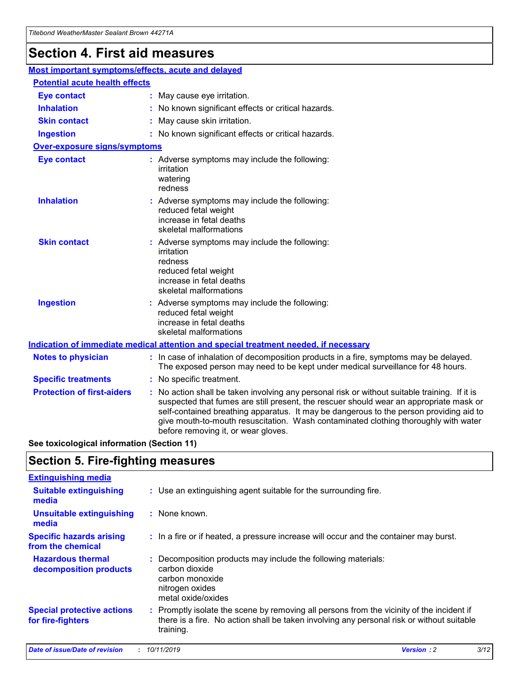## **Section 4. First aid measures**

| Most important symptoms/effects, acute and delayed                                          |  |                                                                                                                                                                                                                                                                                                                                                                                                                 |  |  |
|---------------------------------------------------------------------------------------------|--|-----------------------------------------------------------------------------------------------------------------------------------------------------------------------------------------------------------------------------------------------------------------------------------------------------------------------------------------------------------------------------------------------------------------|--|--|
| <b>Potential acute health effects</b>                                                       |  |                                                                                                                                                                                                                                                                                                                                                                                                                 |  |  |
| <b>Eye contact</b>                                                                          |  | : May cause eye irritation.                                                                                                                                                                                                                                                                                                                                                                                     |  |  |
| <b>Inhalation</b>                                                                           |  | : No known significant effects or critical hazards.                                                                                                                                                                                                                                                                                                                                                             |  |  |
| <b>Skin contact</b>                                                                         |  | : May cause skin irritation.                                                                                                                                                                                                                                                                                                                                                                                    |  |  |
| <b>Ingestion</b>                                                                            |  | : No known significant effects or critical hazards.                                                                                                                                                                                                                                                                                                                                                             |  |  |
| <b>Over-exposure signs/symptoms</b>                                                         |  |                                                                                                                                                                                                                                                                                                                                                                                                                 |  |  |
| <b>Eye contact</b>                                                                          |  | : Adverse symptoms may include the following:<br>irritation<br>watering<br>redness                                                                                                                                                                                                                                                                                                                              |  |  |
| <b>Inhalation</b>                                                                           |  | : Adverse symptoms may include the following:<br>reduced fetal weight<br>increase in fetal deaths<br>skeletal malformations                                                                                                                                                                                                                                                                                     |  |  |
| <b>Skin contact</b>                                                                         |  | : Adverse symptoms may include the following:<br>irritation<br>redness<br>reduced fetal weight<br>increase in fetal deaths<br>skeletal malformations                                                                                                                                                                                                                                                            |  |  |
| <b>Ingestion</b>                                                                            |  | : Adverse symptoms may include the following:<br>reduced fetal weight<br>increase in fetal deaths<br>skeletal malformations                                                                                                                                                                                                                                                                                     |  |  |
| <b>Indication of immediate medical attention and special treatment needed, if necessary</b> |  |                                                                                                                                                                                                                                                                                                                                                                                                                 |  |  |
| <b>Notes to physician</b>                                                                   |  | : In case of inhalation of decomposition products in a fire, symptoms may be delayed.<br>The exposed person may need to be kept under medical surveillance for 48 hours.                                                                                                                                                                                                                                        |  |  |
| <b>Specific treatments</b>                                                                  |  | : No specific treatment.                                                                                                                                                                                                                                                                                                                                                                                        |  |  |
| <b>Protection of first-aiders</b>                                                           |  | : No action shall be taken involving any personal risk or without suitable training. If it is<br>suspected that fumes are still present, the rescuer should wear an appropriate mask or<br>self-contained breathing apparatus. It may be dangerous to the person providing aid to<br>give mouth-to-mouth resuscitation. Wash contaminated clothing thoroughly with water<br>before removing it, or wear gloves. |  |  |

**See toxicological information (Section 11)**

### **Section 5. Fire-fighting measures**

| <b>Extinguishing media</b>                             |                                                                                                                                                                                                     |
|--------------------------------------------------------|-----------------------------------------------------------------------------------------------------------------------------------------------------------------------------------------------------|
| <b>Suitable extinguishing</b><br>media                 | : Use an extinguishing agent suitable for the surrounding fire.                                                                                                                                     |
| <b>Unsuitable extinguishing</b><br>media               | : None known.                                                                                                                                                                                       |
| <b>Specific hazards arising</b><br>from the chemical   | : In a fire or if heated, a pressure increase will occur and the container may burst.                                                                                                               |
| <b>Hazardous thermal</b><br>decomposition products     | : Decomposition products may include the following materials:<br>carbon dioxide<br>carbon monoxide<br>nitrogen oxides<br>metal oxide/oxides                                                         |
| <b>Special protective actions</b><br>for fire-fighters | : Promptly isolate the scene by removing all persons from the vicinity of the incident if<br>there is a fire. No action shall be taken involving any personal risk or without suitable<br>training. |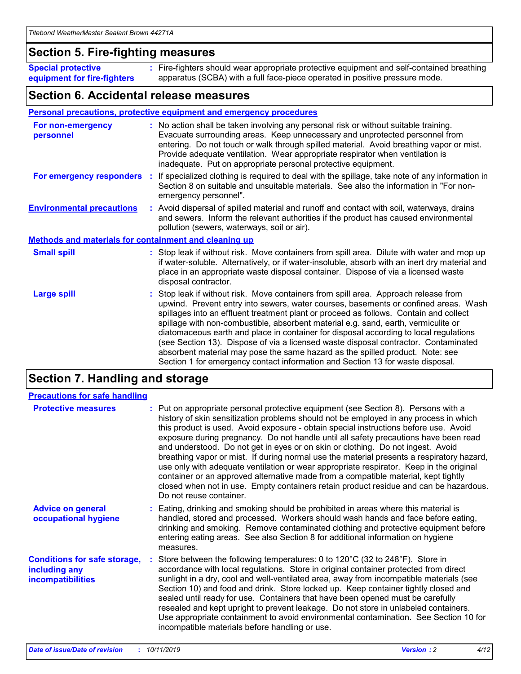### **Section 5. Fire-fighting measures**

**Special protective equipment for fire-fighters** Fire-fighters should wear appropriate protective equipment and self-contained breathing **:** apparatus (SCBA) with a full face-piece operated in positive pressure mode.

### **Section 6. Accidental release measures**

### **Personal precautions, protective equipment and emergency procedures**

| For non-emergency<br>personnel                               | : No action shall be taken involving any personal risk or without suitable training.<br>Evacuate surrounding areas. Keep unnecessary and unprotected personnel from<br>entering. Do not touch or walk through spilled material. Avoid breathing vapor or mist.<br>Provide adequate ventilation. Wear appropriate respirator when ventilation is<br>inadequate. Put on appropriate personal protective equipment.                                                                                                                                                                                                                                                                                             |
|--------------------------------------------------------------|--------------------------------------------------------------------------------------------------------------------------------------------------------------------------------------------------------------------------------------------------------------------------------------------------------------------------------------------------------------------------------------------------------------------------------------------------------------------------------------------------------------------------------------------------------------------------------------------------------------------------------------------------------------------------------------------------------------|
|                                                              | For emergency responders : If specialized clothing is required to deal with the spillage, take note of any information in<br>Section 8 on suitable and unsuitable materials. See also the information in "For non-<br>emergency personnel".                                                                                                                                                                                                                                                                                                                                                                                                                                                                  |
| <b>Environmental precautions</b>                             | : Avoid dispersal of spilled material and runoff and contact with soil, waterways, drains<br>and sewers. Inform the relevant authorities if the product has caused environmental<br>pollution (sewers, waterways, soil or air).                                                                                                                                                                                                                                                                                                                                                                                                                                                                              |
| <b>Methods and materials for containment and cleaning up</b> |                                                                                                                                                                                                                                                                                                                                                                                                                                                                                                                                                                                                                                                                                                              |
| <b>Small spill</b>                                           | : Stop leak if without risk. Move containers from spill area. Dilute with water and mop up<br>if water-soluble. Alternatively, or if water-insoluble, absorb with an inert dry material and<br>place in an appropriate waste disposal container. Dispose of via a licensed waste<br>disposal contractor.                                                                                                                                                                                                                                                                                                                                                                                                     |
| <b>Large spill</b>                                           | : Stop leak if without risk. Move containers from spill area. Approach release from<br>upwind. Prevent entry into sewers, water courses, basements or confined areas. Wash<br>spillages into an effluent treatment plant or proceed as follows. Contain and collect<br>spillage with non-combustible, absorbent material e.g. sand, earth, vermiculite or<br>diatomaceous earth and place in container for disposal according to local regulations<br>(see Section 13). Dispose of via a licensed waste disposal contractor. Contaminated<br>absorbent material may pose the same hazard as the spilled product. Note: see<br>Section 1 for emergency contact information and Section 13 for waste disposal. |

## **Section 7. Handling and storage**

| <b>Precautions for safe handling</b>                                             |                                                                                                                                                                                                                                                                                                                                                                                                                                                                                                                                                                                                                                                                                                                                                                                                                                                  |
|----------------------------------------------------------------------------------|--------------------------------------------------------------------------------------------------------------------------------------------------------------------------------------------------------------------------------------------------------------------------------------------------------------------------------------------------------------------------------------------------------------------------------------------------------------------------------------------------------------------------------------------------------------------------------------------------------------------------------------------------------------------------------------------------------------------------------------------------------------------------------------------------------------------------------------------------|
| <b>Protective measures</b>                                                       | : Put on appropriate personal protective equipment (see Section 8). Persons with a<br>history of skin sensitization problems should not be employed in any process in which<br>this product is used. Avoid exposure - obtain special instructions before use. Avoid<br>exposure during pregnancy. Do not handle until all safety precautions have been read<br>and understood. Do not get in eyes or on skin or clothing. Do not ingest. Avoid<br>breathing vapor or mist. If during normal use the material presents a respiratory hazard,<br>use only with adequate ventilation or wear appropriate respirator. Keep in the original<br>container or an approved alternative made from a compatible material, kept tightly<br>closed when not in use. Empty containers retain product residue and can be hazardous.<br>Do not reuse container. |
| <b>Advice on general</b><br>occupational hygiene                                 | : Eating, drinking and smoking should be prohibited in areas where this material is<br>handled, stored and processed. Workers should wash hands and face before eating,<br>drinking and smoking. Remove contaminated clothing and protective equipment before<br>entering eating areas. See also Section 8 for additional information on hygiene<br>measures.                                                                                                                                                                                                                                                                                                                                                                                                                                                                                    |
| <b>Conditions for safe storage,</b><br>including any<br><b>incompatibilities</b> | : Store between the following temperatures: 0 to 120 $\degree$ C (32 to 248 $\degree$ F). Store in<br>accordance with local regulations. Store in original container protected from direct<br>sunlight in a dry, cool and well-ventilated area, away from incompatible materials (see<br>Section 10) and food and drink. Store locked up. Keep container tightly closed and<br>sealed until ready for use. Containers that have been opened must be carefully<br>resealed and kept upright to prevent leakage. Do not store in unlabeled containers.<br>Use appropriate containment to avoid environmental contamination. See Section 10 for<br>incompatible materials before handling or use.                                                                                                                                                   |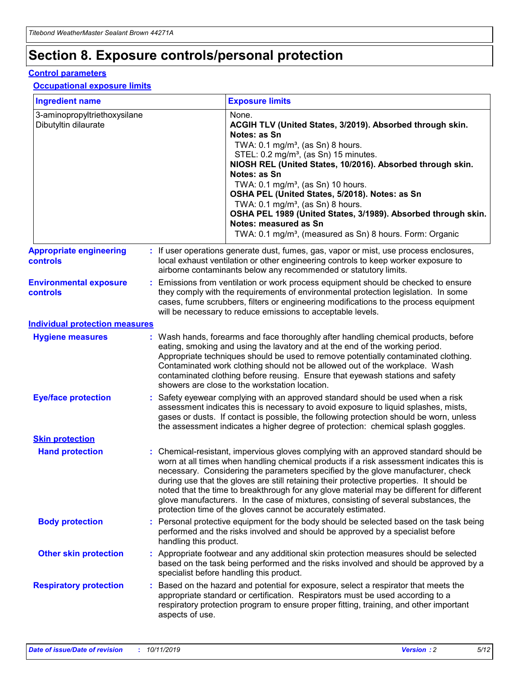## **Section 8. Exposure controls/personal protection**

### **Control parameters**

### **Occupational exposure limits**

| <b>Ingredient name</b>                               |    |                                          | <b>Exposure limits</b>                                                                                                                                                                                                                                                                                                                                                                                                                                                                                                                                                                                                 |
|------------------------------------------------------|----|------------------------------------------|------------------------------------------------------------------------------------------------------------------------------------------------------------------------------------------------------------------------------------------------------------------------------------------------------------------------------------------------------------------------------------------------------------------------------------------------------------------------------------------------------------------------------------------------------------------------------------------------------------------------|
| 3-aminopropyltriethoxysilane<br>Dibutyltin dilaurate |    |                                          | None.<br>ACGIH TLV (United States, 3/2019). Absorbed through skin.<br>Notes: as Sn<br>TWA: 0.1 mg/m <sup>3</sup> , (as Sn) 8 hours.<br>STEL: 0.2 mg/m <sup>3</sup> , (as Sn) 15 minutes.<br>NIOSH REL (United States, 10/2016). Absorbed through skin.<br>Notes: as Sn<br>TWA: 0.1 mg/m <sup>3</sup> , (as Sn) 10 hours.<br>OSHA PEL (United States, 5/2018). Notes: as Sn<br>TWA: $0.1 \text{ mg/m}^3$ , (as Sn) 8 hours.<br>OSHA PEL 1989 (United States, 3/1989). Absorbed through skin.<br>Notes: measured as Sn<br>TWA: 0.1 mg/m <sup>3</sup> , (measured as Sn) 8 hours. Form: Organic                           |
| <b>Appropriate engineering</b><br>controls           |    |                                          | : If user operations generate dust, fumes, gas, vapor or mist, use process enclosures,<br>local exhaust ventilation or other engineering controls to keep worker exposure to<br>airborne contaminants below any recommended or statutory limits.                                                                                                                                                                                                                                                                                                                                                                       |
| <b>Environmental exposure</b><br><b>controls</b>     |    |                                          | Emissions from ventilation or work process equipment should be checked to ensure<br>they comply with the requirements of environmental protection legislation. In some<br>cases, fume scrubbers, filters or engineering modifications to the process equipment<br>will be necessary to reduce emissions to acceptable levels.                                                                                                                                                                                                                                                                                          |
| <b>Individual protection measures</b>                |    |                                          |                                                                                                                                                                                                                                                                                                                                                                                                                                                                                                                                                                                                                        |
| <b>Hygiene measures</b>                              |    |                                          | : Wash hands, forearms and face thoroughly after handling chemical products, before<br>eating, smoking and using the lavatory and at the end of the working period.<br>Appropriate techniques should be used to remove potentially contaminated clothing.<br>Contaminated work clothing should not be allowed out of the workplace. Wash<br>contaminated clothing before reusing. Ensure that eyewash stations and safety<br>showers are close to the workstation location.                                                                                                                                            |
| <b>Eye/face protection</b>                           |    |                                          | : Safety eyewear complying with an approved standard should be used when a risk<br>assessment indicates this is necessary to avoid exposure to liquid splashes, mists,<br>gases or dusts. If contact is possible, the following protection should be worn, unless<br>the assessment indicates a higher degree of protection: chemical splash goggles.                                                                                                                                                                                                                                                                  |
| <b>Skin protection</b>                               |    |                                          |                                                                                                                                                                                                                                                                                                                                                                                                                                                                                                                                                                                                                        |
| <b>Hand protection</b>                               |    |                                          | : Chemical-resistant, impervious gloves complying with an approved standard should be<br>worn at all times when handling chemical products if a risk assessment indicates this is<br>necessary. Considering the parameters specified by the glove manufacturer, check<br>during use that the gloves are still retaining their protective properties. It should be<br>noted that the time to breakthrough for any glove material may be different for different<br>glove manufacturers. In the case of mixtures, consisting of several substances, the<br>protection time of the gloves cannot be accurately estimated. |
| <b>Body protection</b>                               |    | handling this product.                   | Personal protective equipment for the body should be selected based on the task being<br>performed and the risks involved and should be approved by a specialist before                                                                                                                                                                                                                                                                                                                                                                                                                                                |
| <b>Other skin protection</b>                         |    | specialist before handling this product. | : Appropriate footwear and any additional skin protection measures should be selected<br>based on the task being performed and the risks involved and should be approved by a                                                                                                                                                                                                                                                                                                                                                                                                                                          |
| <b>Respiratory protection</b>                        | ÷. | aspects of use.                          | Based on the hazard and potential for exposure, select a respirator that meets the<br>appropriate standard or certification. Respirators must be used according to a<br>respiratory protection program to ensure proper fitting, training, and other important                                                                                                                                                                                                                                                                                                                                                         |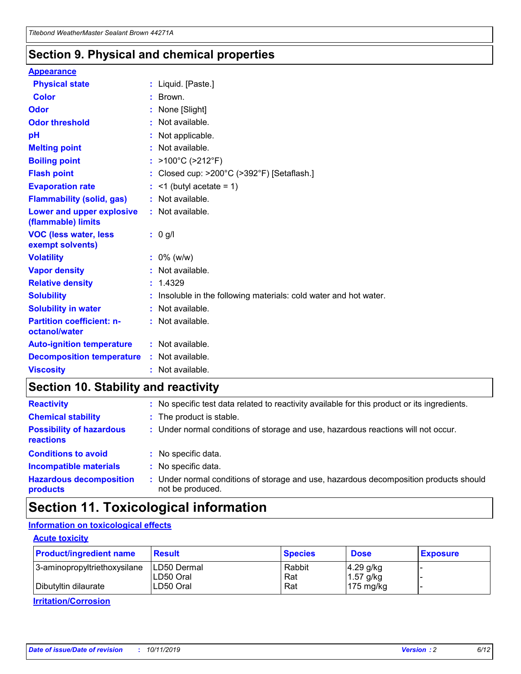### **Section 9. Physical and chemical properties**

### **Appearance**

| <b>Physical state</b>                             | : Liquid. [Paste.]                                              |
|---------------------------------------------------|-----------------------------------------------------------------|
| Color                                             | $\therefore$ Brown.                                             |
| Odor                                              | : None [Slight]                                                 |
| <b>Odor threshold</b>                             | $:$ Not available.                                              |
| pH                                                | : Not applicable.                                               |
| <b>Melting point</b>                              | : Not available.                                                |
| <b>Boiling point</b>                              | : >100°C (>212°F)                                               |
| <b>Flash point</b>                                | : Closed cup: $>200^{\circ}$ C ( $>392^{\circ}$ F) [Setaflash.] |
| <b>Evaporation rate</b>                           | $:$ <1 (butyl acetate = 1)                                      |
| <b>Flammability (solid, gas)</b>                  | : Not available.                                                |
| Lower and upper explosive<br>(flammable) limits   | : Not available.                                                |
| <b>VOC (less water, less</b><br>exempt solvents)  | : 0 g/l                                                         |
| <b>Volatility</b>                                 | $: 0\%$ (w/w)                                                   |
| <b>Vapor density</b>                              | : Not available.                                                |
| <b>Relative density</b>                           | : 1.4329                                                        |
| <b>Solubility</b>                                 | Insoluble in the following materials: cold water and hot water. |
| <b>Solubility in water</b>                        | : Not available.                                                |
| <b>Partition coefficient: n-</b><br>octanol/water | $:$ Not available.                                              |
| <b>Auto-ignition temperature</b>                  | : Not available.                                                |
|                                                   |                                                                 |
| <b>Decomposition temperature</b>                  | : Not available.                                                |

## **Section 10. Stability and reactivity**

| <b>Reactivity</b>                            | : No specific test data related to reactivity available for this product or its ingredients.            |
|----------------------------------------------|---------------------------------------------------------------------------------------------------------|
| <b>Chemical stability</b>                    | : The product is stable.                                                                                |
| <b>Possibility of hazardous</b><br>reactions | : Under normal conditions of storage and use, hazardous reactions will not occur.                       |
| <b>Conditions to avoid</b>                   | : No specific data.                                                                                     |
| <b>Incompatible materials</b>                | : No specific data.                                                                                     |
| <b>Hazardous decomposition</b><br>products   | Under normal conditions of storage and use, hazardous decomposition products should<br>not be produced. |

## **Section 11. Toxicological information**

### **Information on toxicological effects**

### **Acute toxicity**

| <b>Product/ingredient name</b> | <b>Result</b>           | <b>Species</b> | <b>Dose</b>                | <b>Exposure</b> |
|--------------------------------|-------------------------|----------------|----------------------------|-----------------|
| 3-aminopropyltriethoxysilane   | <b>ILD50 Dermal</b>     | Rabbit         | 4.29 g/kg                  |                 |
| Dibutyltin dilaurate           | ILD50 Oral<br>LD50 Oral | Rat<br>Rat     | $1.57$ g/kg<br>175 $mg/kg$ |                 |
|                                |                         |                |                            |                 |

**Irritation/Corrosion**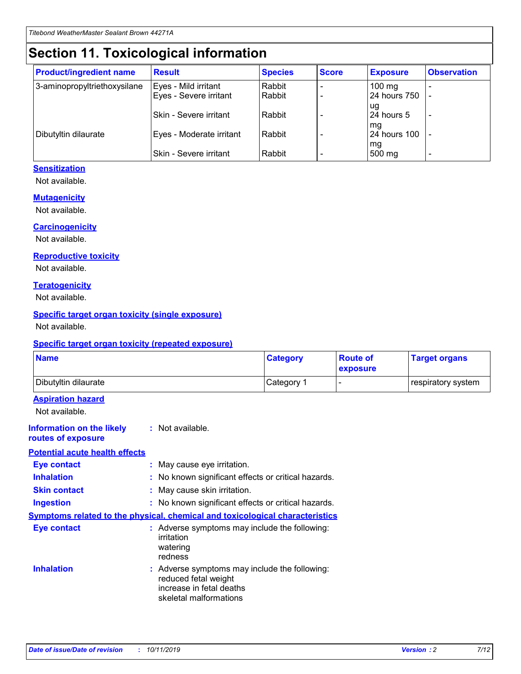## **Section 11. Toxicological information**

| <b>Product/ingredient name</b> | <b>Result</b>            | <b>Species</b> | <b>Score</b> | <b>Exposure</b>           | <b>Observation</b> |
|--------------------------------|--------------------------|----------------|--------------|---------------------------|--------------------|
| 3-aminopropyltriethoxysilane   | Eyes - Mild irritant     | Rabbit         |              | $100$ mg                  |                    |
|                                | Eyes - Severe irritant   | Rabbit         |              | 24 hours 750              |                    |
|                                |                          |                |              | ug                        |                    |
|                                | Skin - Severe irritant   | Rabbit         |              | 24 hours 5                | -                  |
| Dibutyltin dilaurate           | Eyes - Moderate irritant | Rabbit         |              | mq<br><b>24 hours 100</b> |                    |
|                                |                          |                |              | mg                        |                    |
|                                | Skin - Severe irritant   | Rabbit         |              | 500 mg                    |                    |

### **Sensitization**

Not available.

### **Mutagenicity**

Not available.

#### **Carcinogenicity**

Not available.

#### **Reproductive toxicity**

Not available.

#### **Teratogenicity**

Not available.

### **Specific target organ toxicity (single exposure)**

Not available.

#### **Specific target organ toxicity (repeated exposure)**

| <b>Name</b>                                                                  |                                                                            | <b>Category</b>                                     | <b>Route of</b><br>exposure | <b>Target organs</b> |
|------------------------------------------------------------------------------|----------------------------------------------------------------------------|-----------------------------------------------------|-----------------------------|----------------------|
| Dibutyltin dilaurate                                                         |                                                                            | Category 1                                          | -                           | respiratory system   |
| <b>Aspiration hazard</b><br>Not available.                                   |                                                                            |                                                     |                             |                      |
| <b>Information on the likely</b><br>routes of exposure                       | : Not available.                                                           |                                                     |                             |                      |
| <b>Potential acute health effects</b>                                        |                                                                            |                                                     |                             |                      |
| <b>Eye contact</b>                                                           | : May cause eye irritation.                                                |                                                     |                             |                      |
| <b>Inhalation</b>                                                            |                                                                            | : No known significant effects or critical hazards. |                             |                      |
| <b>Skin contact</b>                                                          | : May cause skin irritation.                                               |                                                     |                             |                      |
| <b>Ingestion</b>                                                             |                                                                            | : No known significant effects or critical hazards. |                             |                      |
| Symptoms related to the physical, chemical and toxicological characteristics |                                                                            |                                                     |                             |                      |
| <b>Eye contact</b>                                                           | irritation<br>watering<br>redness                                          | : Adverse symptoms may include the following:       |                             |                      |
| <b>Inhalation</b>                                                            | reduced fetal weight<br>increase in fetal deaths<br>skeletal malformations | : Adverse symptoms may include the following:       |                             |                      |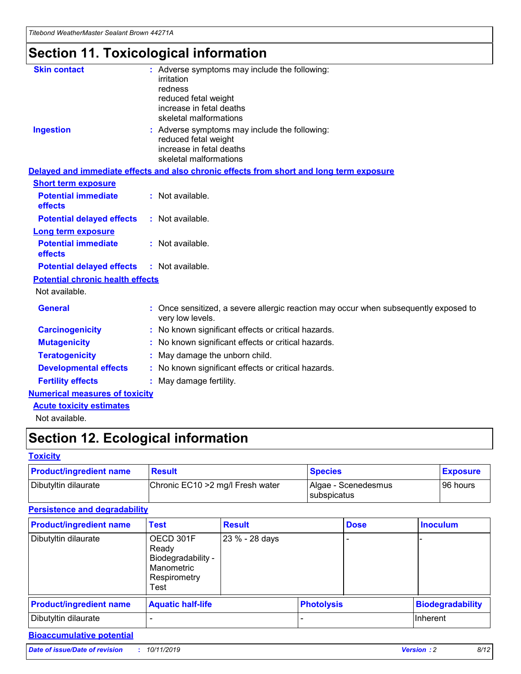*Titebond WeatherMaster Sealant Brown 44271A*

## **Section 11. Toxicological information**

| <b>Skin contact</b>                     | : Adverse symptoms may include the following:                                                            |
|-----------------------------------------|----------------------------------------------------------------------------------------------------------|
|                                         | irritation                                                                                               |
|                                         | redness                                                                                                  |
|                                         | reduced fetal weight                                                                                     |
|                                         | increase in fetal deaths                                                                                 |
|                                         | skeletal malformations                                                                                   |
| <b>Ingestion</b>                        | : Adverse symptoms may include the following:                                                            |
|                                         | reduced fetal weight                                                                                     |
|                                         | increase in fetal deaths                                                                                 |
|                                         | skeletal malformations                                                                                   |
|                                         | Delayed and immediate effects and also chronic effects from short and long term exposure                 |
| <b>Short term exposure</b>              |                                                                                                          |
| <b>Potential immediate</b>              | : Not available.                                                                                         |
| effects                                 |                                                                                                          |
| <b>Potential delayed effects</b>        | : Not available.                                                                                         |
| Long term exposure                      |                                                                                                          |
| <b>Potential immediate</b>              | : Not available.                                                                                         |
| effects                                 |                                                                                                          |
| <b>Potential delayed effects</b>        | : Not available.                                                                                         |
| <b>Potential chronic health effects</b> |                                                                                                          |
| Not available.                          |                                                                                                          |
| <b>General</b>                          | : Once sensitized, a severe allergic reaction may occur when subsequently exposed to<br>very low levels. |
| <b>Carcinogenicity</b>                  | : No known significant effects or critical hazards.                                                      |
| <b>Mutagenicity</b>                     | : No known significant effects or critical hazards.                                                      |
| <b>Teratogenicity</b>                   | May damage the unborn child.                                                                             |
| <b>Developmental effects</b>            | : No known significant effects or critical hazards.                                                      |
| <b>Fertility effects</b>                | May damage fertility.                                                                                    |
| <b>Numerical measures of toxicity</b>   |                                                                                                          |
| <b>Acute toxicity estimates</b>         |                                                                                                          |
| الملحلة والمستحيط والمسالم              |                                                                                                          |

Not available.

## **Section 12. Ecological information**

### **Toxicity**

| <b>Product/ingredient name</b> | <b>Result</b>                     | <b>Species</b>                       | <b>Exposure</b> |
|--------------------------------|-----------------------------------|--------------------------------------|-----------------|
| Dibutyltin dilaurate           | Chronic EC10 > 2 mg/l Fresh water | Algae - Scenedesmus<br>I subspicatus | l 96 hours      |

### **Persistence and degradability**

| <b>Product/ingredient name</b> | <b>Test</b>                                                                    | <b>Result</b>  |                   | <b>Dose</b> | <b>Inoculum</b>         |
|--------------------------------|--------------------------------------------------------------------------------|----------------|-------------------|-------------|-------------------------|
| Dibutyltin dilaurate           | OECD 301F<br>Ready<br>Biodegradability -<br>Manometric<br>Respirometry<br>Test | 23 % - 28 days |                   |             |                         |
| <b>Product/ingredient name</b> | <b>Aquatic half-life</b>                                                       |                | <b>Photolysis</b> |             | <b>Biodegradability</b> |
| Dibutyltin dilaurate           |                                                                                |                |                   |             | Inherent                |

### **Bioaccumulative potential**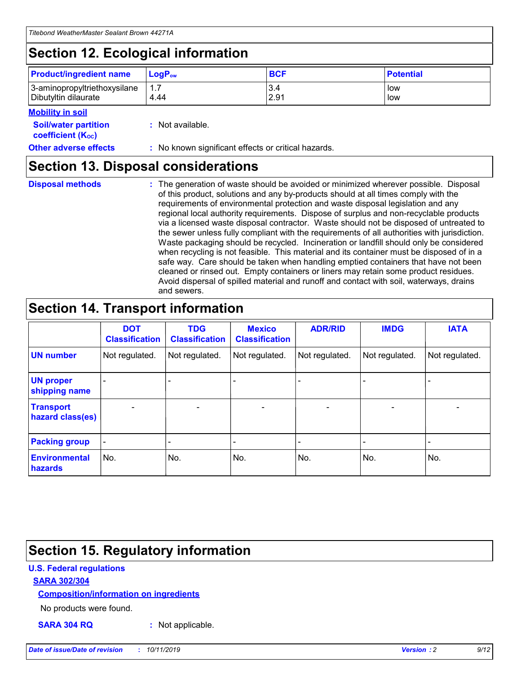## **Section 12. Ecological information**

| <b>Product/ingredient name</b>                       | ∣LoqP <sub>ow</sub> | <b>BCF</b>  | <b>Potential</b> |
|------------------------------------------------------|---------------------|-------------|------------------|
| 3-aminopropyltriethoxysilane<br>Dibutyltin dilaurate | 4.44                | 3.4<br>2.91 | low<br>low       |

### **Mobility in soil**

| <i></i>                                                       |                                                     |
|---------------------------------------------------------------|-----------------------------------------------------|
| <b>Soil/water partition</b><br>coefficient (K <sub>oc</sub> ) | : Not available.                                    |
| <b>Other adverse effects</b>                                  | : No known significant effects or critical hazards. |

### **Section 13. Disposal considerations**

|  | <b>Disposal methods</b> |  |
|--|-------------------------|--|

**Disposal methods** : The generation of waste should be avoided or minimized wherever possible. Disposal of this product, solutions and any by-products should at all times comply with the requirements of environmental protection and waste disposal legislation and any regional local authority requirements. Dispose of surplus and non-recyclable products via a licensed waste disposal contractor. Waste should not be disposed of untreated to the sewer unless fully compliant with the requirements of all authorities with jurisdiction. Waste packaging should be recycled. Incineration or landfill should only be considered when recycling is not feasible. This material and its container must be disposed of in a safe way. Care should be taken when handling emptied containers that have not been cleaned or rinsed out. Empty containers or liners may retain some product residues. Avoid dispersal of spilled material and runoff and contact with soil, waterways, drains and sewers.

## **Section 14. Transport information**

|                                        | <b>DOT</b><br><b>Classification</b> | <b>TDG</b><br><b>Classification</b> | <b>Mexico</b><br><b>Classification</b> | <b>ADR/RID</b>           | <b>IMDG</b>                  | <b>IATA</b>    |
|----------------------------------------|-------------------------------------|-------------------------------------|----------------------------------------|--------------------------|------------------------------|----------------|
| <b>UN number</b>                       | Not regulated.                      | Not regulated.                      | Not regulated.                         | Not regulated.           | Not regulated.               | Not regulated. |
| <b>UN proper</b><br>shipping name      |                                     |                                     |                                        |                          |                              |                |
| <b>Transport</b><br>hazard class(es)   | $\qquad \qquad \blacksquare$        | $\qquad \qquad \blacksquare$        | $\overline{\phantom{a}}$               | $\overline{\phantom{a}}$ | $\overline{\phantom{a}}$     | $\blacksquare$ |
| <b>Packing group</b>                   | $\overline{\phantom{a}}$            |                                     |                                        |                          | $\qquad \qquad \blacksquare$ |                |
| <b>Environmental</b><br><b>hazards</b> | No.                                 | No.                                 | No.                                    | No.                      | No.                          | No.            |

## **Section 15. Regulatory information**

### **U.S. Federal regulations**

### **SARA 302/304**

### **Composition/information on ingredients**

No products were found.

**SARA 304 RQ :** Not applicable.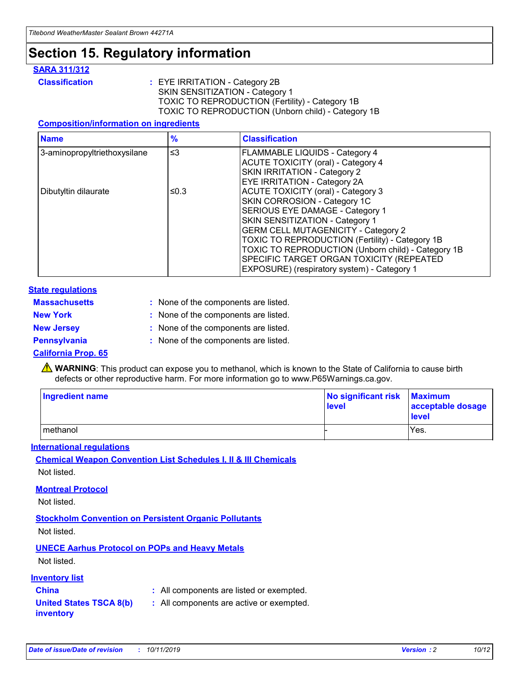## **Section 15. Regulatory information**

### **SARA 311/312**

**Classification :** EYE IRRITATION - Category 2B SKIN SENSITIZATION - Category 1 TOXIC TO REPRODUCTION (Fertility) - Category 1B TOXIC TO REPRODUCTION (Unborn child) - Category 1B

### **Composition/information on ingredients**

| <b>Name</b>                  | $\frac{9}{6}$ | <b>Classification</b>                                                                                            |
|------------------------------|---------------|------------------------------------------------------------------------------------------------------------------|
| 3-aminopropyltriethoxysilane | $\leq$ 3      | <b>FLAMMABLE LIQUIDS - Category 4</b><br><b>ACUTE TOXICITY (oral) - Category 4</b>                               |
|                              |               | SKIN IRRITATION - Category 2<br>EYE IRRITATION - Category 2A                                                     |
| Dibutyltin dilaurate         | ≤0.3          | ACUTE TOXICITY (oral) - Category 3<br>SKIN CORROSION - Category 1C                                               |
|                              |               | SERIOUS EYE DAMAGE - Category 1<br>SKIN SENSITIZATION - Category 1<br><b>GERM CELL MUTAGENICITY - Category 2</b> |
|                              |               | TOXIC TO REPRODUCTION (Fertility) - Category 1B<br>TOXIC TO REPRODUCTION (Unborn child) - Category 1B            |
|                              |               | SPECIFIC TARGET ORGAN TOXICITY (REPEATED<br>EXPOSURE) (respiratory system) - Category 1                          |

### **State regulations**

| <b>Massachusetts</b> | : None of the components are listed. |
|----------------------|--------------------------------------|
| <b>New York</b>      | : None of the components are listed. |
| <b>New Jersey</b>    | : None of the components are listed. |
| <b>Pennsylvania</b>  | : None of the components are listed. |

### **California Prop. 65**

**A** WARNING: This product can expose you to methanol, which is known to the State of California to cause birth defects or other reproductive harm. For more information go to www.P65Warnings.ca.gov.

| <b>Ingredient name</b> | No significant risk Maximum<br>level | acceptable dosage<br>level |
|------------------------|--------------------------------------|----------------------------|
| methanol               |                                      | Yes.                       |

### **International regulations**

**Chemical Weapon Convention List Schedules I, II & III Chemicals** Not listed.

### **Montreal Protocol**

Not listed.

**Stockholm Convention on Persistent Organic Pollutants**

Not listed.

### **UNECE Aarhus Protocol on POPs and Heavy Metals**

Not listed.

### **Inventory list**

### **China :** All components are listed or exempted.

**United States TSCA 8(b) inventory :** All components are active or exempted.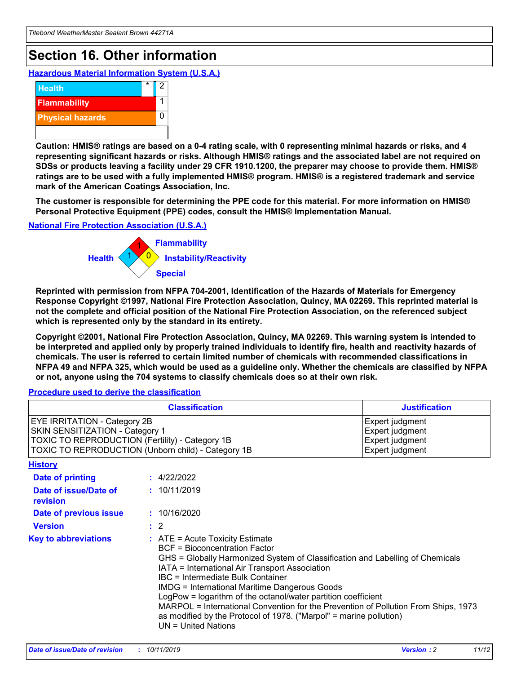## **Section 16. Other information**

**Hazardous Material Information System (U.S.A.)**



**Caution: HMIS® ratings are based on a 0-4 rating scale, with 0 representing minimal hazards or risks, and 4 representing significant hazards or risks. Although HMIS® ratings and the associated label are not required on SDSs or products leaving a facility under 29 CFR 1910.1200, the preparer may choose to provide them. HMIS® ratings are to be used with a fully implemented HMIS® program. HMIS® is a registered trademark and service mark of the American Coatings Association, Inc.**

**The customer is responsible for determining the PPE code for this material. For more information on HMIS® Personal Protective Equipment (PPE) codes, consult the HMIS® Implementation Manual.**

#### **National Fire Protection Association (U.S.A.)**



**Reprinted with permission from NFPA 704-2001, Identification of the Hazards of Materials for Emergency Response Copyright ©1997, National Fire Protection Association, Quincy, MA 02269. This reprinted material is not the complete and official position of the National Fire Protection Association, on the referenced subject which is represented only by the standard in its entirety.**

**Copyright ©2001, National Fire Protection Association, Quincy, MA 02269. This warning system is intended to be interpreted and applied only by properly trained individuals to identify fire, health and reactivity hazards of chemicals. The user is referred to certain limited number of chemicals with recommended classifications in NFPA 49 and NFPA 325, which would be used as a guideline only. Whether the chemicals are classified by NFPA or not, anyone using the 704 systems to classify chemicals does so at their own risk.**

**Procedure used to derive the classification**

|                                                                                                                    | <b>Classification</b>                                                                                                                            | <b>Justification</b>                                                                                                                                                                                                                                                                                                                                                                                                 |  |
|--------------------------------------------------------------------------------------------------------------------|--------------------------------------------------------------------------------------------------------------------------------------------------|----------------------------------------------------------------------------------------------------------------------------------------------------------------------------------------------------------------------------------------------------------------------------------------------------------------------------------------------------------------------------------------------------------------------|--|
| EYE IRRITATION - Category 2B<br>SKIN SENSITIZATION - Category 1<br>TOXIC TO REPRODUCTION (Fertility) - Category 1B | TOXIC TO REPRODUCTION (Unborn child) - Category 1B                                                                                               | Expert judgment<br>Expert judgment<br>Expert judgment<br>Expert judgment                                                                                                                                                                                                                                                                                                                                             |  |
| <b>History</b>                                                                                                     |                                                                                                                                                  |                                                                                                                                                                                                                                                                                                                                                                                                                      |  |
| Date of printing                                                                                                   | : 4/22/2022                                                                                                                                      |                                                                                                                                                                                                                                                                                                                                                                                                                      |  |
| Date of issue/Date of<br>revision                                                                                  | : 10/11/2019                                                                                                                                     |                                                                                                                                                                                                                                                                                                                                                                                                                      |  |
| Date of previous issue                                                                                             | : 10/16/2020                                                                                                                                     |                                                                                                                                                                                                                                                                                                                                                                                                                      |  |
| <b>Version</b>                                                                                                     | $\therefore$ 2                                                                                                                                   |                                                                                                                                                                                                                                                                                                                                                                                                                      |  |
| <b>Key to abbreviations</b>                                                                                        | $\therefore$ ATE = Acute Toxicity Estimate<br><b>BCF</b> = Bioconcentration Factor<br>IBC = Intermediate Bulk Container<br>$UN = United Nations$ | GHS = Globally Harmonized System of Classification and Labelling of Chemicals<br>IATA = International Air Transport Association<br><b>IMDG = International Maritime Dangerous Goods</b><br>LogPow = logarithm of the octanol/water partition coefficient<br>MARPOL = International Convention for the Prevention of Pollution From Ships, 1973<br>as modified by the Protocol of 1978. ("Marpol" = marine pollution) |  |